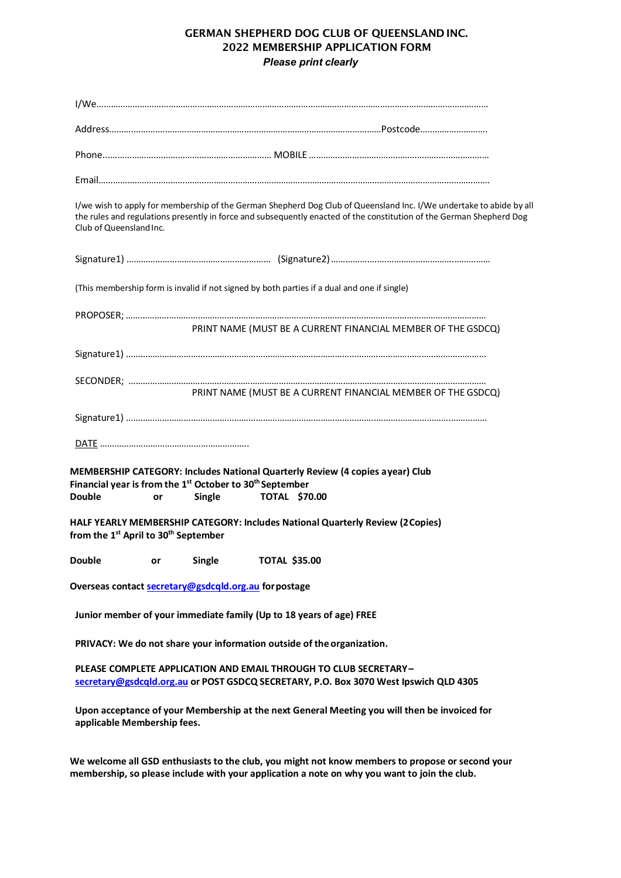## GERMAN SHEPHERD DOG CLUB OF QUEENSLAND INC. 2022 MEMBERSHIP APPLICATION FORM *Please print clearly*

| Club of Queensland Inc.                                                                                                                                                                                                              |                     |                      | I/we wish to apply for membership of the German Shepherd Dog Club of Queensland Inc. I/We undertake to abide by all<br>the rules and regulations presently in force and subsequently enacted of the constitution of the German Shepherd Dog |
|--------------------------------------------------------------------------------------------------------------------------------------------------------------------------------------------------------------------------------------|---------------------|----------------------|---------------------------------------------------------------------------------------------------------------------------------------------------------------------------------------------------------------------------------------------|
|                                                                                                                                                                                                                                      |                     |                      |                                                                                                                                                                                                                                             |
|                                                                                                                                                                                                                                      |                     |                      | (This membership form is invalid if not signed by both parties if a dual and one if single)                                                                                                                                                 |
|                                                                                                                                                                                                                                      |                     |                      |                                                                                                                                                                                                                                             |
|                                                                                                                                                                                                                                      |                     |                      | PRINT NAME (MUST BE A CURRENT FINANCIAL MEMBER OF THE GSDCQ)                                                                                                                                                                                |
|                                                                                                                                                                                                                                      |                     |                      |                                                                                                                                                                                                                                             |
|                                                                                                                                                                                                                                      |                     |                      |                                                                                                                                                                                                                                             |
|                                                                                                                                                                                                                                      |                     |                      | PRINT NAME (MUST BE A CURRENT FINANCIAL MEMBER OF THE GSDCQ)                                                                                                                                                                                |
|                                                                                                                                                                                                                                      |                     |                      |                                                                                                                                                                                                                                             |
|                                                                                                                                                                                                                                      |                     |                      |                                                                                                                                                                                                                                             |
|                                                                                                                                                                                                                                      |                     |                      |                                                                                                                                                                                                                                             |
|                                                                                                                                                                                                                                      | Single<br>or        | <b>TOTAL \$70.00</b> | MEMBERSHIP CATEGORY: Includes National Quarterly Review (4 copies ayear) Club                                                                                                                                                               |
|                                                                                                                                                                                                                                      |                     |                      | HALF YEARLY MEMBERSHIP CATEGORY: Includes National Quarterly Review (2 Copies)                                                                                                                                                              |
|                                                                                                                                                                                                                                      | <b>Single</b><br>or | <b>TOTAL \$35.00</b> |                                                                                                                                                                                                                                             |
|                                                                                                                                                                                                                                      |                     |                      |                                                                                                                                                                                                                                             |
| Financial year is from the 1 <sup>st</sup> October to 30 <sup>th</sup> September<br>Double<br>from the 1 <sup>st</sup> April to 30 <sup>th</sup> September<br><b>Double</b><br>Overseas contact secretary@gsdcqld.org.au for postage |                     |                      | Junior member of your immediate family (Up to 18 years of age) FREE                                                                                                                                                                         |
|                                                                                                                                                                                                                                      |                     |                      | PRIVACY: We do not share your information outside of the organization.                                                                                                                                                                      |
|                                                                                                                                                                                                                                      |                     |                      | PLEASE COMPLETE APPLICATION AND EMAIL THROUGH TO CLUB SECRETARY-<br>secretary@gsdcqld.org.au or POST GSDCQ SECRETARY, P.O. Box 3070 West Ipswich QLD 4305                                                                                   |